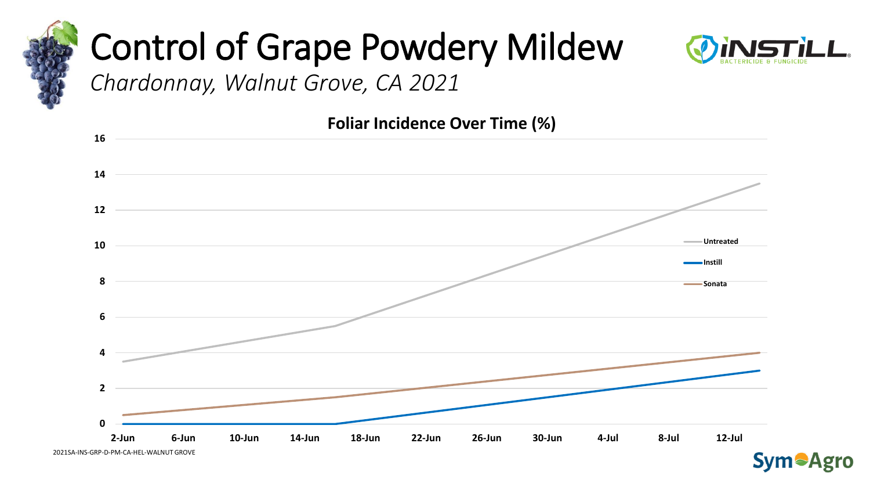



*Chardonnay, Walnut Grove, CA 2021* 





2021SA-INS-GRP-D-PM-CA-HEL-WALNUT GROVE

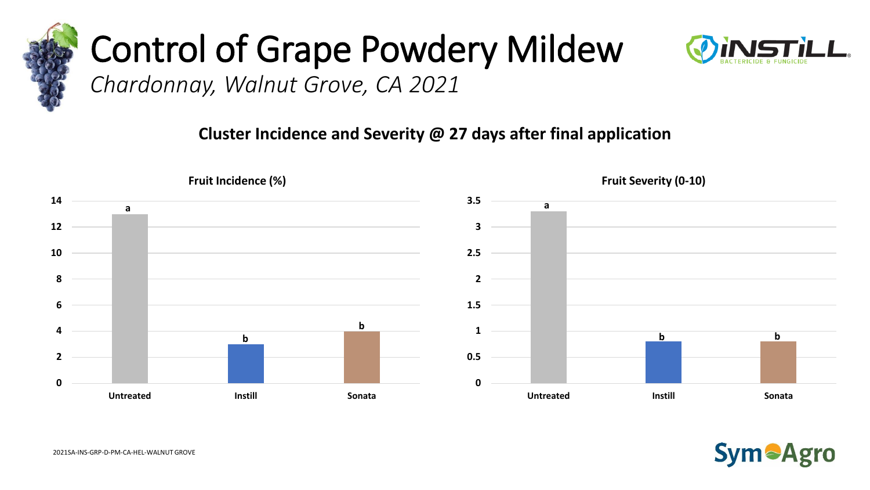



*Chardonnay, Walnut Grove, CA 2021* 

#### **Cluster Incidence and Severity @ 27 days after final application**



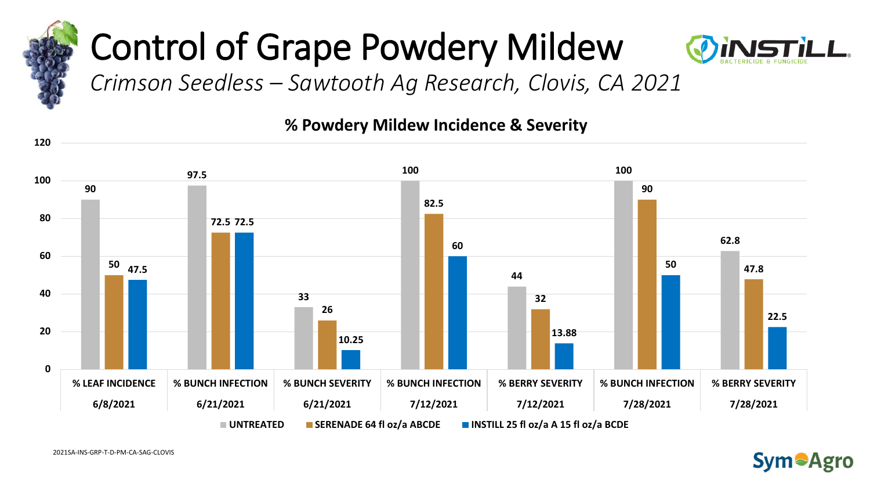



*Crimson Seedless – Sawtooth Ag Research, Clovis, CA 2021* 

#### **% Powdery Mildew Incidence & Severity**



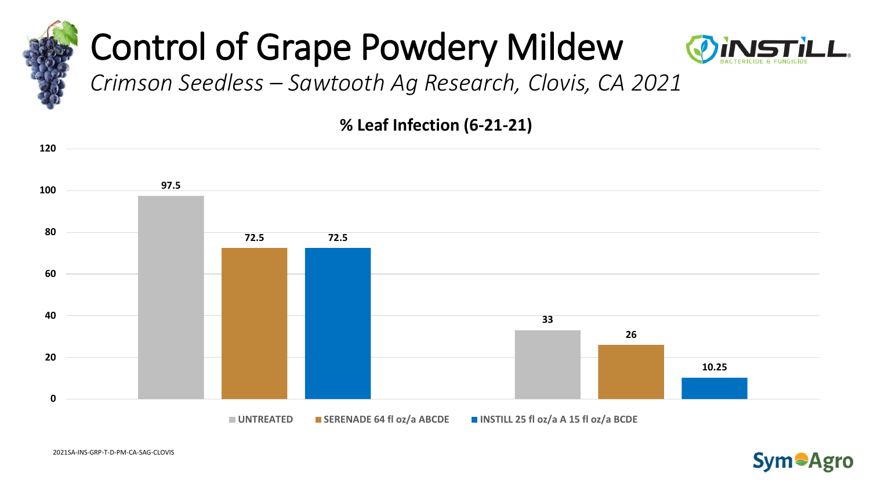



*Crimson Seedless – Sawtooth Ag Research, Clovis, CA 2021* 

**% Leaf Infection (6-21-21)**